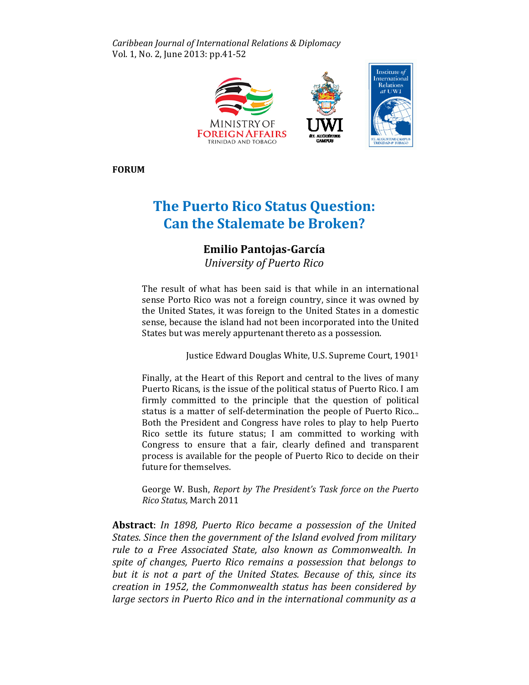Caribbean Journal of International Relations & Diplomacy Vol. 1, No. 2, June 2013: pp.41-52



FORUM

# The Puerto Rico Status Question: **Can the Stalemate be Broken?**

# Emilio Pantojas Pantojas-García

University of Puerto Rico

The result of what has been said is that while in an international sense Porto Rico was not a foreign country, since it was owned by the United States, it was foreign to the United States in a domestic sense, because the island had not been incorporated into the United States but was merely appurtenant thereto as a possession.

was merely appurtenant thereto as a possession.<br>Justice Edward Douglas White, U.S. Supreme Court, 1901<sup>1</sup>

Finally, at the Heart of this Report and central to the lives of many Puerto Ricans, is the issue of the political status of Puerto Rico. I am firmly committed to the principle that the question of political status is a matter of self-determination the people of Puerto Rico... Both the President and Congress have roles to play to help Puerto Rico settle its future status; I am committed to working with Congress to ensure that a fair, clearly defined and transparent process is available for the people of Puerto Rico to decide on their future for themselves.

George W. Bush, Report by The President's Task force on the Puerto Rico Status, March 2011

Abstract: In 1898, Puerto Rico became a possession of the United States. Since then the government of the Island evolved from military rule to a Free Associated State, also known as Commonwealth. In spite of changes, Puerto Rico remains a possession that belongs to but it is not a part of the United States. Because of this, since its creation in 1952, the Commonwealth status has been considered by large sectors in Puerto Rico and in the international community as a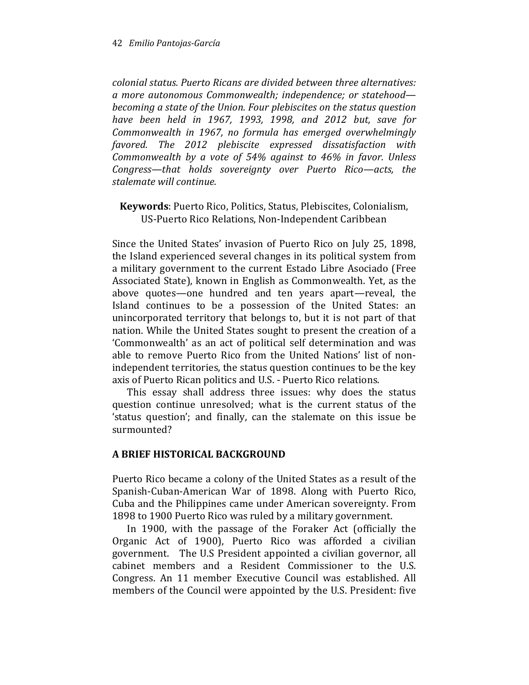colonial status. Puerto Ricans are divided between three alternatives: a more autonomous Commonwealth; independence; or statehood becoming a state of the Union. Four plebiscites on the status question have been held in 1967, 1993, 1998, and 2012 but, save for Commonwealth in 1967, no formula has emerged overwhelmingly favored. The 2012 plebiscite expressed dissatisfaction with Commonwealth by a vote of 54% against to 46% in favor. Unless Congress—that holds sovereignty over Puerto Rico—acts, the stalemate will continue.

## Keywords: Puerto Rico, Politics, Status, Plebiscites, Colonialism, US-Puerto Rico Relations, Non-Independent Caribbean

Since the United States' invasion of Puerto Rico on July 25, 1898, the Island experienced several changes in its political system from a military government to the current Estado Libre Asociado (Free Associated State), known in English as Commonwealth. Yet, as the above quotes—one hundred and ten years apart—reveal, the Island continues to be a possession of the United States: an unincorporated territory that belongs to, but it is not part of that nation. While the United States sought to present the creation of a 'Commonwealth' as an act of political self determination and was able to remove Puerto Rico from the United Nations' list of nonindependent territories, the status question continues to be the key axis of Puerto Rican politics and U.S. - Puerto Rico relations.

This essay shall address three issues: why does the status question continue unresolved; what is the current status of the 'status question'; and finally, can the stalemate on this issue be surmounted?

## A BRIEF HISTORICAL BACKGROUND

Puerto Rico became a colony of the United States as a result of the Spanish-Cuban-American War of 1898. Along with Puerto Rico, Cuba and the Philippines came under American sovereignty. From 1898 to 1900 Puerto Rico was ruled by a military government.

In 1900, with the passage of the Foraker Act (officially the Organic Act of 1900), Puerto Rico was afforded a civilian government. The U.S President appointed a civilian governor, all cabinet members and a Resident Commissioner to the U.S. Congress. An 11 member Executive Council was established. All members of the Council were appointed by the U.S. President: five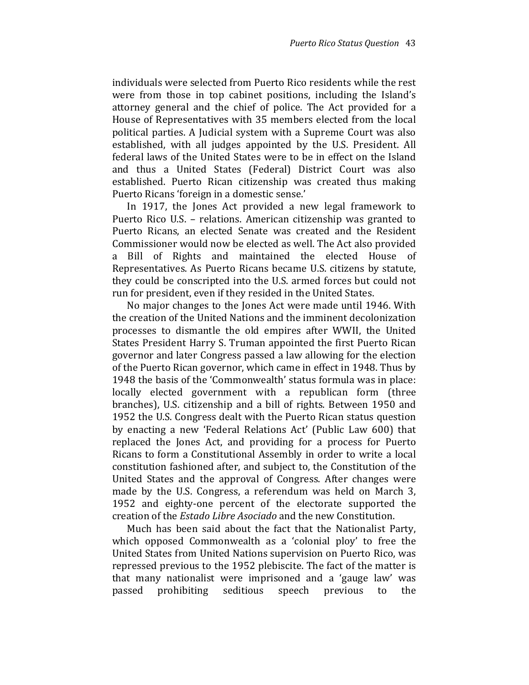individuals were selected from Puerto Rico residents while the rest were from those in top cabinet positions, including the Island's attorney general and the chief of police. The Act provided for a House of Representatives with 35 members elected from the local political parties. A Judicial system with a Supreme Court was also established, with all judges appointed by the U.S. President. All federal laws of the United States were to be in effect on the Island and thus a United States (Federal) District Court was also established. Puerto Rican citizenship was created thus making Puerto Ricans 'foreign in a domestic sense.'

In 1917, the Jones Act provided a new legal framework to Puerto Rico U.S. – relations. American citizenship was granted to Puerto Ricans, an elected Senate was created and the Resident Commissioner would now be elected as well. The Act also provided a Bill of Rights and maintained the elected House of Representatives. As Puerto Ricans became U.S. citizens by statute, they could be conscripted into the U.S. armed forces but could not run for president, even if they resided in the United States.

No major changes to the Jones Act were made until 1946. With the creation of the United Nations and the imminent decolonization processes to dismantle the old empires after WWII, the United States President Harry S. Truman appointed the first Puerto Rican governor and later Congress passed a law allowing for the election of the Puerto Rican governor, which came in effect in 1948. Thus by 1948 the basis of the 'Commonwealth' status formula was in place: locally elected government with a republican form (three branches), U.S. citizenship and a bill of rights. Between 1950 and 1952 the U.S. Congress dealt with the Puerto Rican status question by enacting a new 'Federal Relations Act' (Public Law 600) that replaced the Jones Act, and providing for a process for Puerto Ricans to form a Constitutional Assembly in order to write a local constitution fashioned after, and subject to, the Constitution of the United States and the approval of Congress. After changes were made by the U.S. Congress, a referendum was held on March 3, 1952 and eighty-one percent of the electorate supported the creation of the Estado Libre Asociado and the new Constitution.

Much has been said about the fact that the Nationalist Party, which opposed Commonwealth as a 'colonial ploy' to free the United States from United Nations supervision on Puerto Rico, was repressed previous to the 1952 plebiscite. The fact of the matter is that many nationalist were imprisoned and a 'gauge law' was passed prohibiting seditious speech previous to the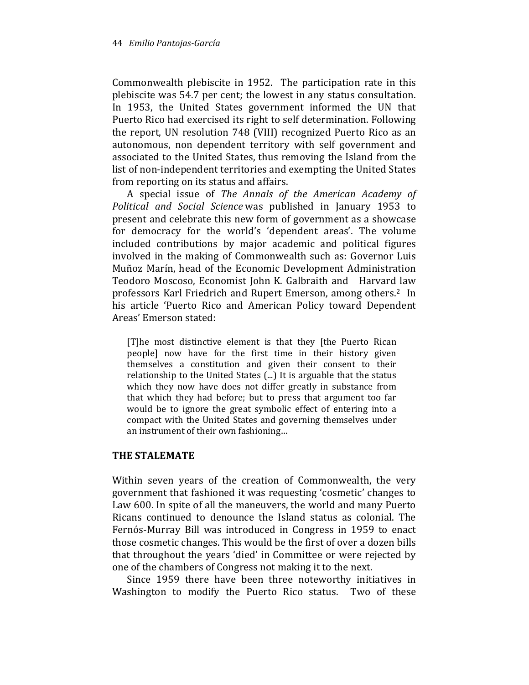Commonwealth plebiscite in 1952. The participation rate in this plebiscite was 54.7 per cent; the lowest in any status consultation. In 1953, the United States government informed the UN that Puerto Rico had exercised its right to self determination. Following the report, UN resolution 748 (VIII) recognized Puerto Rico as an autonomous, non dependent territory with self government and associated to the United States, thus removing the Island from the list of non-independent territories and exempting the United States from reporting on its status and affairs.

A special issue of The Annals of the American Academy of Political and Social Science was published in January 1953 to present and celebrate this new form of government as a showcase for democracy for the world's 'dependent areas'. The volume included contributions by major academic and political figures involved in the making of Commonwealth such as: Governor Luis Muñoz Marín, head of the Economic Development Administration Teodoro Moscoso, Economist John K. Galbraith and Harvard law professors Karl Friedrich and Rupert Emerson, among others.2 In his article 'Puerto Rico and American Policy toward Dependent Areas' Emerson stated:

[T]he most distinctive element is that they [the Puerto Rican people] now have for the first time in their history given themselves a constitution and given their consent to their relationship to the United States (...) It is arguable that the status which they now have does not differ greatly in substance from that which they had before; but to press that argument too far would be to ignore the great symbolic effect of entering into a compact with the United States and governing themselves under an instrument of their own fashioning…

#### THE STALEMATE

Within seven years of the creation of Commonwealth, the very government that fashioned it was requesting 'cosmetic' changes to Law 600. In spite of all the maneuvers, the world and many Puerto Ricans continued to denounce the Island status as colonial. The Fernós-Murray Bill was introduced in Congress in 1959 to enact those cosmetic changes. This would be the first of over a dozen bills that throughout the years 'died' in Committee or were rejected by one of the chambers of Congress not making it to the next.

Since 1959 there have been three noteworthy initiatives in Washington to modify the Puerto Rico status. Two of these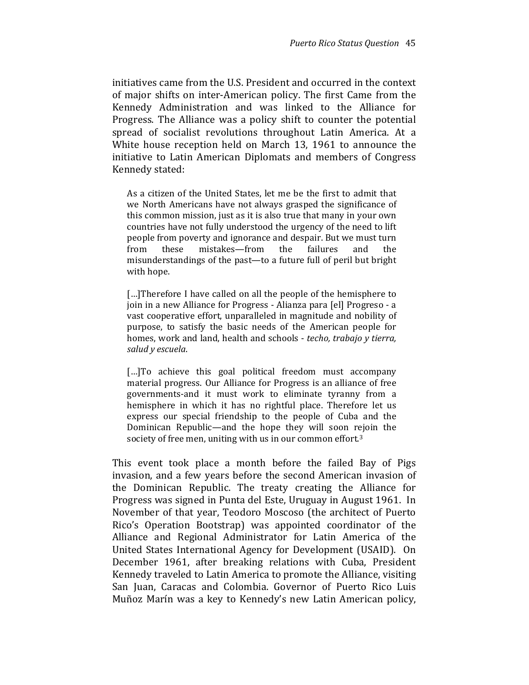initiatives came from the U.S. President and occurred in the context of major shifts on inter-American policy. The first Came from the Kennedy Administration and was linked to the Alliance for Progress. The Alliance was a policy shift to counter the potential spread of socialist revolutions throughout Latin America. At a White house reception held on March 13, 1961 to announce the initiative to Latin American Diplomats and members of Congress Kennedy stated:

As a citizen of the United States, let me be the first to admit that we North Americans have not always grasped the significance of this common mission, just as it is also true that many in your own countries have not fully understood the urgency of the need to lift people from poverty and ignorance and despair. But we must turn from these mistakes—from the failures and the misunderstandings of the past—to a future full of peril but bright with hope.

[...]Therefore I have called on all the people of the hemisphere to join in a new Alliance for Progress - Alianza para [el] Progreso - a vast cooperative effort, unparalleled in magnitude and nobility of purpose, to satisfy the basic needs of the American people for homes, work and land, health and schools - techo, trabajo y tierra, salud y escuela.

[...]To achieve this goal political freedom must accompany material progress. Our Alliance for Progress is an alliance of free governments-and it must work to eliminate tyranny from a hemisphere in which it has no rightful place. Therefore let us express our special friendship to the people of Cuba and the Dominican Republic—and the hope they will soon rejoin the society of free men, uniting with us in our common effort.<sup>3</sup>

This event took place a month before the failed Bay of Pigs invasion, and a few years before the second American invasion of the Dominican Republic. The treaty creating the Alliance for Progress was signed in Punta del Este, Uruguay in August 1961. In November of that year, Teodoro Moscoso (the architect of Puerto Rico's Operation Bootstrap) was appointed coordinator of the Alliance and Regional Administrator for Latin America of the United States International Agency for Development (USAID). On December 1961, after breaking relations with Cuba, President Kennedy traveled to Latin America to promote the Alliance, visiting San Juan, Caracas and Colombia. Governor of Puerto Rico Luis Muñoz Marín was a key to Kennedy's new Latin American policy,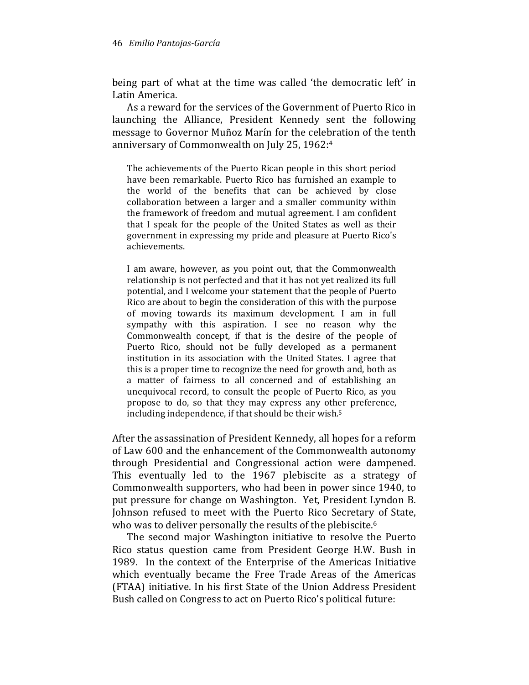being part of what at the time was called 'the democratic left' in Latin America.

As a reward for the services of the Government of Puerto Rico in launching the Alliance, President Kennedy sent the following message to Governor Muñoz Marín for the celebration of the tenth anniversary of Commonwealth on July 25, 1962:<sup>4</sup>

The achievements of the Puerto Rican people in this short period have been remarkable. Puerto Rico has furnished an example to the world of the benefits that can be achieved by close collaboration between a larger and a smaller community within the framework of freedom and mutual agreement. I am confident that I speak for the people of the United States as well as their government in expressing my pride and pleasure at Puerto Rico's achievements.

I am aware, however, as you point out, that the Commonwealth relationship is not perfected and that it has not yet realized its full potential, and I welcome your statement that the people of Puerto Rico are about to begin the consideration of this with the purpose of moving towards its maximum development. I am in full sympathy with this aspiration. I see no reason why the Commonwealth concept, if that is the desire of the people of Puerto Rico, should not be fully developed as a permanent institution in its association with the United States. I agree that this is a proper time to recognize the need for growth and, both as a matter of fairness to all concerned and of establishing an unequivocal record, to consult the people of Puerto Rico, as you propose to do, so that they may express any other preference, including independence, if that should be their wish.<sup>5</sup>

After the assassination of President Kennedy, all hopes for a reform of Law 600 and the enhancement of the Commonwealth autonomy through Presidential and Congressional action were dampened. This eventually led to the 1967 plebiscite as a strategy of Commonwealth supporters, who had been in power since 1940, to put pressure for change on Washington. Yet, President Lyndon B. Johnson refused to meet with the Puerto Rico Secretary of State, who was to deliver personally the results of the plebiscite.<sup>6</sup>

The second major Washington initiative to resolve the Puerto Rico status question came from President George H.W. Bush in 1989. In the context of the Enterprise of the Americas Initiative which eventually became the Free Trade Areas of the Americas (FTAA) initiative. In his first State of the Union Address President Bush called on Congress to act on Puerto Rico's political future: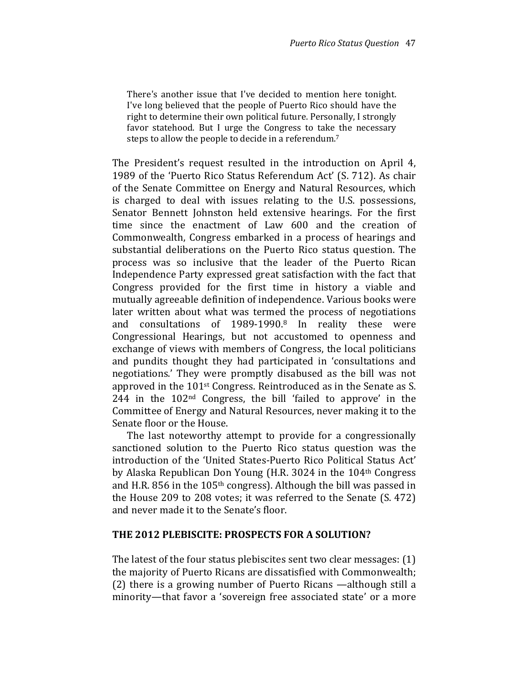There's another issue that I've decided to mention here tonight. I've long believed that the people of Puerto Rico should have the right to determine their own political future. Personally, I strongly favor statehood. But I urge the Congress to take the necessary steps to allow the people to decide in a referendum. 7

The President's request resulted in the introduction on April 4, 1989 of the 'Puerto Rico Status Referendum Act' (S. 712). As chair of the Senate Committee on Energy and Natural Resources, which is charged to deal with issues relating to the U.S. possessions, Senator Bennett Johnston held extensive hearings. For the first time since the enactment of Law 600 and the creation of Commonwealth, Congress embarked in a process of hearings and substantial deliberations on the Puerto Rico status question. The process was so inclusive that the leader of the Puerto Rican Independence Party expressed great satisfaction with the fact that Congress provided for the first time in history a viable and mutually agreeable definition of independence. Various books were later written about what was termed the process of negotiations and consultations of 1989-1990.8 In reality these were Congressional Hearings, but not accustomed to openness and exchange of views with members of Congress, the local politicians and pundits thought they had participated in 'consultations and negotiations.' They were promptly disabused as the bill was not approved in the 101<sup>st</sup> Congress. Reintroduced as in the Senate as S. 244 in the 102nd Congress, the bill 'failed to approve' in the Committee of Energy and Natural Resources, never making it to the Senate floor or the House.

The last noteworthy attempt to provide for a congressionally sanctioned solution to the Puerto Rico status question was the introduction of the 'United States-Puerto Rico Political Status Act' by Alaska Republican Don Young (H.R. 3024 in the 104th Congress and H.R. 856 in the 105th congress). Although the bill was passed in the House 209 to 208 votes; it was referred to the Senate (S. 472) and never made it to the Senate's floor.

#### THE 2012 PLEBISCITE: PROSPECTS FOR A SOLUTION?

The latest of the four status plebiscites sent two clear messages: (1) the majority of Puerto Ricans are dissatisfied with Commonwealth; (2) there is a growing number of Puerto Ricans —although still a minority—that favor a 'sovereign free associated state' or a more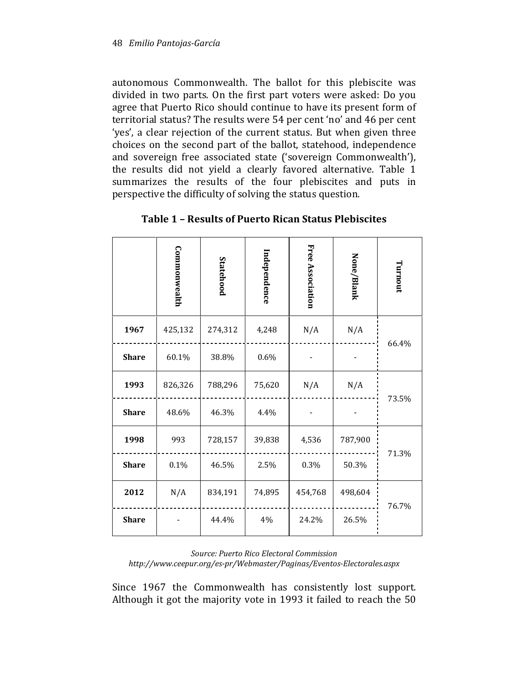autonomous Commonwealth. The ballot for this plebiscite was divided in two parts. On the first part voters were asked: Do you agree that Puerto Rico should continue to have its present form of territorial status? The results were 54 per cent 'no' and 46 per cent 'yes', a clear rejection of the current status. But when given three choices on the second part of the ballot, statehood, independence and sovereign free associated state ('sovereign Commonwealth'), the results did not yield a clearly favored alternative. Table 1 summarizes the results of the four plebiscites and puts in perspective the difficulty of solving the status question.

|              | Commonwealth | Statehood | Independence | Free Association | None/Blank | Turnout |
|--------------|--------------|-----------|--------------|------------------|------------|---------|
| 1967         | 425,132      | 274,312   | 4,248        | N/A              | N/A        | 66.4%   |
| <b>Share</b> | 60.1%        | 38.8%     | 0.6%         |                  |            |         |
| 1993         | 826,326      | 788,296   | 75,620       | N/A              | N/A        | 73.5%   |
| <b>Share</b> | 48.6%        | 46.3%     | 4.4%         |                  |            |         |
| 1998         | 993          | 728,157   | 39,838       | 4,536            | 787,900    | 71.3%   |
| <b>Share</b> | 0.1%         | 46.5%     | 2.5%         | 0.3%             | 50.3%      |         |
| 2012         | N/A          | 834,191   | 74,895       | 454,768          | 498,604    | 76.7%   |
| <b>Share</b> |              | 44.4%     | 4%           | 24.2%            | 26.5%      |         |

Table 1 – Results of Puerto Rican Status Plebiscites

Source: Puerto Rico Electoral Commission http://www.ceepur.org/es-pr/Webmaster/Paginas/Eventos-Electorales.aspx

Since 1967 the Commonwealth has consistently lost support. Although it got the majority vote in 1993 it failed to reach the 50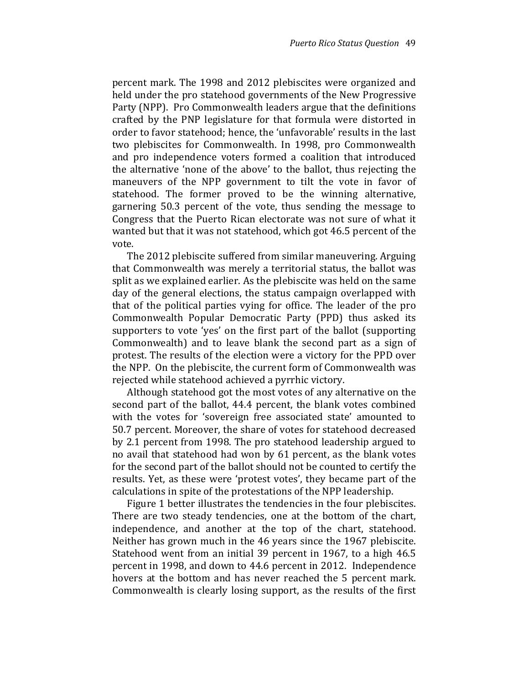percent mark. The 1998 and 2012 plebiscites were organized and held under the pro statehood governments of the New Progressive Party (NPP). Pro Commonwealth leaders argue that the definitions crafted by the PNP legislature for that formula were distorted in order to favor statehood; hence, the 'unfavorable' results in the last two plebiscites for Commonwealth. In 1998, pro Commonwealth and pro independence voters formed a coalition that introduced the alternative 'none of the above' to the ballot, thus rejecting the maneuvers of the NPP government to tilt the vote in favor of statehood. The former proved to be the winning alternative, garnering 50.3 percent of the vote, thus sending the message to Congress that the Puerto Rican electorate was not sure of what it wanted but that it was not statehood, which got 46.5 percent of the vote.

The 2012 plebiscite suffered from similar maneuvering. Arguing that Commonwealth was merely a territorial status, the ballot was split as we explained earlier. As the plebiscite was held on the same day of the general elections, the status campaign overlapped with that of the political parties vying for office. The leader of the pro Commonwealth Popular Democratic Party (PPD) thus asked its supporters to vote 'yes' on the first part of the ballot (supporting Commonwealth) and to leave blank the second part as a sign of protest. The results of the election were a victory for the PPD over the NPP. On the plebiscite, the current form of Commonwealth was rejected while statehood achieved a pyrrhic victory.

Although statehood got the most votes of any alternative on the second part of the ballot, 44.4 percent, the blank votes combined with the votes for 'sovereign free associated state' amounted to 50.7 percent. Moreover, the share of votes for statehood decreased by 2.1 percent from 1998. The pro statehood leadership argued to no avail that statehood had won by 61 percent, as the blank votes for the second part of the ballot should not be counted to certify the results. Yet, as these were 'protest votes', they became part of the calculations in spite of the protestations of the NPP leadership.

Figure 1 better illustrates the tendencies in the four plebiscites. There are two steady tendencies, one at the bottom of the chart, independence, and another at the top of the chart, statehood. Neither has grown much in the 46 years since the 1967 plebiscite. Statehood went from an initial 39 percent in 1967, to a high 46.5 percent in 1998, and down to 44.6 percent in 2012. Independence hovers at the bottom and has never reached the 5 percent mark. Commonwealth is clearly losing support, as the results of the first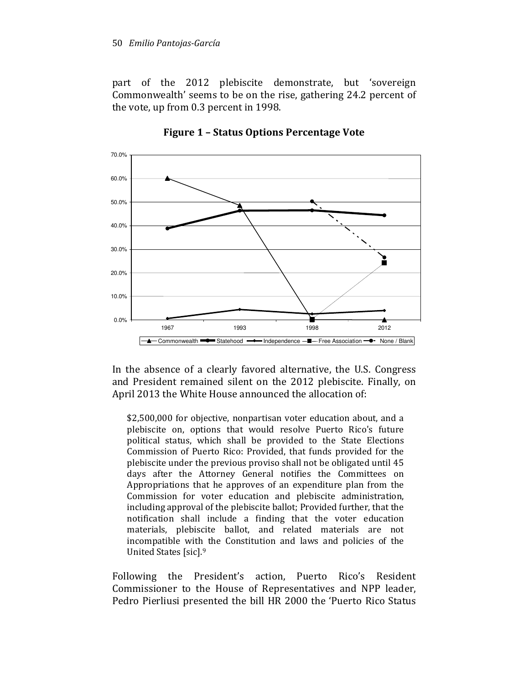part of the 2012 plebiscite demonstrate, but 'sovereign Commonwealth' seems to be on the rise, gathering 24.2 percent of the vote, up from 0.3 percent in 1998.



Figure 1 – Status Options Percentage Vote

In the absence of a clearly favored alternative, the U.S. Congress and President remained silent on the 2012 plebiscite. Finally, on April 2013 the White House announced the allocation of:

\$2,500,000 for objective, nonpartisan voter education about, and a plebiscite on, options that would resolve Puerto Rico's future political status, which shall be provided to the State Elections Commission of Puerto Rico: Provided, that funds provided for the plebiscite under the previous proviso shall not be obligated until 45 days after the Attorney General notifies the Committees on Appropriations that he approves of an expenditure plan from the Commission for voter education and plebiscite administration, including approval of the plebiscite ballot; Provided further, that the notification shall include a finding that the voter education materials, plebiscite ballot, and related materials are not incompatible with the Constitution and laws and policies of the United States [sic].<sup>9</sup>

Following the President's action, Puerto Rico's Resident Commissioner to the House of Representatives and NPP leader, Pedro Pierliusi presented the bill HR 2000 the 'Puerto Rico Status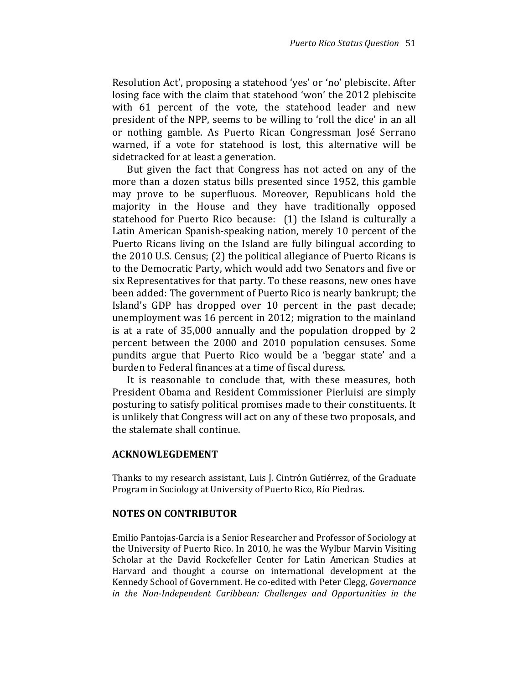Resolution Act', proposing a statehood 'yes' or 'no' plebiscite. After losing face with the claim that statehood 'won' the 2012 plebiscite with 61 percent of the vote, the statehood leader and new president of the NPP, seems to be willing to 'roll the dice' in an all or nothing gamble. As Puerto Rican Congressman José Serrano warned, if a vote for statehood is lost, this alternative will be sidetracked for at least a generation.

But given the fact that Congress has not acted on any of the more than a dozen status bills presented since 1952, this gamble may prove to be superfluous. Moreover, Republicans hold the majority in the House and they have traditionally opposed statehood for Puerto Rico because: (1) the Island is culturally a Latin American Spanish-speaking nation, merely 10 percent of the Puerto Ricans living on the Island are fully bilingual according to the 2010 U.S. Census; (2) the political allegiance of Puerto Ricans is to the Democratic Party, which would add two Senators and five or six Representatives for that party. To these reasons, new ones have been added: The government of Puerto Rico is nearly bankrupt; the Island's GDP has dropped over 10 percent in the past decade; unemployment was 16 percent in 2012; migration to the mainland is at a rate of 35,000 annually and the population dropped by 2 percent between the 2000 and 2010 population censuses. Some pundits argue that Puerto Rico would be a 'beggar state' and a burden to Federal finances at a time of fiscal duress.

It is reasonable to conclude that, with these measures, both President Obama and Resident Commissioner Pierluisi are simply posturing to satisfy political promises made to their constituents. It is unlikely that Congress will act on any of these two proposals, and the stalemate shall continue.

#### ACKNOWLEGDEMENT

Thanks to my research assistant, Luis J. Cintrón Gutiérrez, of the Graduate Program in Sociology at University of Puerto Rico, Río Piedras.

#### NOTES ON CONTRIBUTOR

Emilio Pantojas-García is a Senior Researcher and Professor of Sociology at the University of Puerto Rico. In 2010, he was the Wylbur Marvin Visiting Scholar at the David Rockefeller Center for Latin American Studies at Harvard and thought a course on international development at the Kennedy School of Government. He co-edited with Peter Clegg, Governance in the Non-Independent Caribbean: Challenges and Opportunities in the